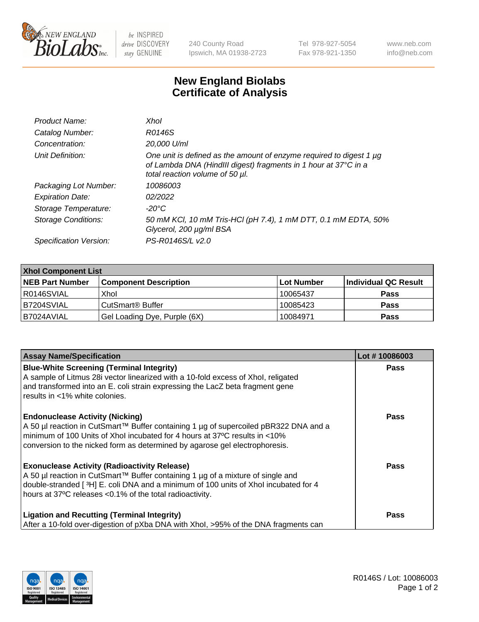

 $be$  INSPIRED drive DISCOVERY stay GENUINE

240 County Road Ipswich, MA 01938-2723 Tel 978-927-5054 Fax 978-921-1350 www.neb.com info@neb.com

## **New England Biolabs Certificate of Analysis**

| Product Name:              | Xhol                                                                                                                                                                      |
|----------------------------|---------------------------------------------------------------------------------------------------------------------------------------------------------------------------|
| Catalog Number:            | R0146S                                                                                                                                                                    |
| Concentration:             | 20,000 U/ml                                                                                                                                                               |
| Unit Definition:           | One unit is defined as the amount of enzyme required to digest 1 µg<br>of Lambda DNA (HindIII digest) fragments in 1 hour at 37°C in a<br>total reaction volume of 50 µl. |
| Packaging Lot Number:      | 10086003                                                                                                                                                                  |
| <b>Expiration Date:</b>    | 02/2022                                                                                                                                                                   |
| Storage Temperature:       | -20°C                                                                                                                                                                     |
| <b>Storage Conditions:</b> | 50 mM KCl, 10 mM Tris-HCl (pH 7.4), 1 mM DTT, 0.1 mM EDTA, 50%<br>Glycerol, 200 µg/ml BSA                                                                                 |
| Specification Version:     | PS-R0146S/L v2.0                                                                                                                                                          |

| <b>Xhol Component List</b> |                              |             |                      |  |  |
|----------------------------|------------------------------|-------------|----------------------|--|--|
| <b>NEB Part Number</b>     | <b>Component Description</b> | ∣Lot Number | Individual QC Result |  |  |
| R0146SVIAL                 | Xhol                         | 10065437    | <b>Pass</b>          |  |  |
| B7204SVIAL                 | CutSmart® Buffer             | 10085423    | <b>Pass</b>          |  |  |
| B7024AVIAL                 | Gel Loading Dye, Purple (6X) | 10084971    | <b>Pass</b>          |  |  |

| <b>Assay Name/Specification</b>                                                                                                                                                                                        | Lot #10086003 |
|------------------------------------------------------------------------------------------------------------------------------------------------------------------------------------------------------------------------|---------------|
| <b>Blue-White Screening (Terminal Integrity)</b><br>A sample of Litmus 28i vector linearized with a 10-fold excess of Xhol, religated<br>and transformed into an E. coli strain expressing the LacZ beta fragment gene | <b>Pass</b>   |
| results in <1% white colonies.                                                                                                                                                                                         |               |
| <b>Endonuclease Activity (Nicking)</b>                                                                                                                                                                                 | <b>Pass</b>   |
| A 50 µl reaction in CutSmart™ Buffer containing 1 µg of supercoiled pBR322 DNA and a<br>minimum of 100 Units of Xhol incubated for 4 hours at 37°C results in <10%                                                     |               |
| conversion to the nicked form as determined by agarose gel electrophoresis.                                                                                                                                            |               |
| <b>Exonuclease Activity (Radioactivity Release)</b>                                                                                                                                                                    | <b>Pass</b>   |
| A 50 µl reaction in CutSmart™ Buffer containing 1 µg of a mixture of single and<br>double-stranded [3H] E. coli DNA and a minimum of 100 units of Xhol incubated for 4                                                 |               |
| hours at 37°C releases <0.1% of the total radioactivity.                                                                                                                                                               |               |
| <b>Ligation and Recutting (Terminal Integrity)</b>                                                                                                                                                                     | <b>Pass</b>   |
| After a 10-fold over-digestion of pXba DNA with Xhol, >95% of the DNA fragments can                                                                                                                                    |               |